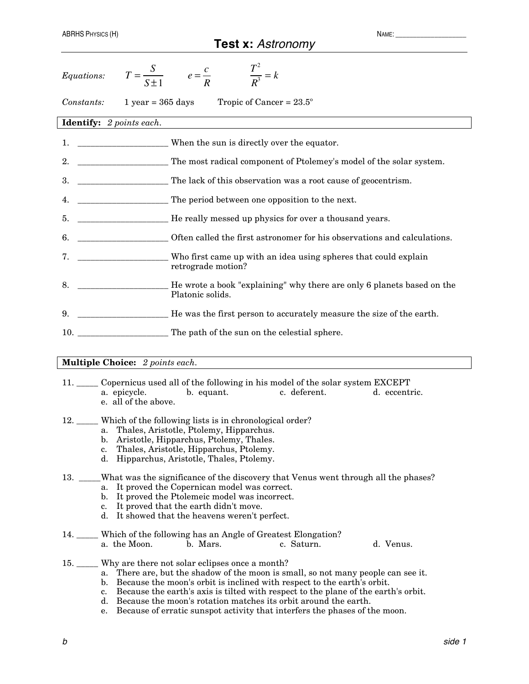## **Test x:** *Astronomy*

| Equations:                                                             |  | $T = \frac{S}{S+1}$ $e = \frac{c}{R}$ $\frac{T^2}{R^3} = k$                                    |  |  |  |  |  |  |
|------------------------------------------------------------------------|--|------------------------------------------------------------------------------------------------|--|--|--|--|--|--|
| Tropic of Cancer = $23.5^{\circ}$<br>Constants:<br>$1$ year = 365 days |  |                                                                                                |  |  |  |  |  |  |
| <b>Identify:</b> 2 points each.                                        |  |                                                                                                |  |  |  |  |  |  |
| 1.                                                                     |  | When the sun is directly over the equator.                                                     |  |  |  |  |  |  |
| 2.                                                                     |  | The most radical component of Ptolemey's model of the solar system.                            |  |  |  |  |  |  |
| 3.                                                                     |  | The lack of this observation was a root cause of geocentrism.                                  |  |  |  |  |  |  |
| 4.                                                                     |  | The period between one opposition to the next.                                                 |  |  |  |  |  |  |
| 5.                                                                     |  |                                                                                                |  |  |  |  |  |  |
| 6.                                                                     |  | ______________________Often called the first astronomer for his observations and calculations. |  |  |  |  |  |  |
| 7.                                                                     |  | retrograde motion?                                                                             |  |  |  |  |  |  |
| 8.                                                                     |  | ___ He wrote a book "explaining" why there are only 6 planets based on the<br>Platonic solids. |  |  |  |  |  |  |
| 9.                                                                     |  | He was the first person to accurately measure the size of the earth.                           |  |  |  |  |  |  |
| 10.                                                                    |  | The path of the sun on the celestial sphere.                                                   |  |  |  |  |  |  |

### **Multiple Choice:** *2 points each.*

- 11. \_\_\_\_\_ Copernicus used all of the following in his model of the solar system EXCEPT a. epicycle. b. equant. c. deferent. d. eccentric. e. all of the above.
- 12. \_\_\_\_\_ Which of the following lists is in chronological order?
	- a. Thales, Aristotle, Ptolemy, Hipparchus.
	- b. Aristotle, Hipparchus, Ptolemy, Thales.
	- c. Thales, Aristotle, Hipparchus, Ptolemy.
	- d. Hipparchus, Aristotle, Thales, Ptolemy.

#### 13. \_\_\_\_What was the significance of the discovery that Venus went through all the phases? a. It proved the Copernican model was correct.

- b. It proved the Ptolemeic model was incorrect.
- 
- c. It proved that the earth didn't move.
- d. It showed that the heavens weren't perfect.

#### 14. \_\_\_\_\_ Which of the following has an Angle of Greatest Elongation? a. the Moon. b. Mars. c. Saturn. d. Venus.

- 15. \_\_\_\_\_ Why are there not solar eclipses once a month?
	- a. There are, but the shadow of the moon is small, so not many people can see it.
	- b. Because the moon's orbit is inclined with respect to the earth's orbit.
	- c. Because the earth's axis is tilted with respect to the plane of the earth's orbit.
	- d. Because the moon's rotation matches its orbit around the earth.
	- e. Because of erratic sunspot activity that interfers the phases of the moon.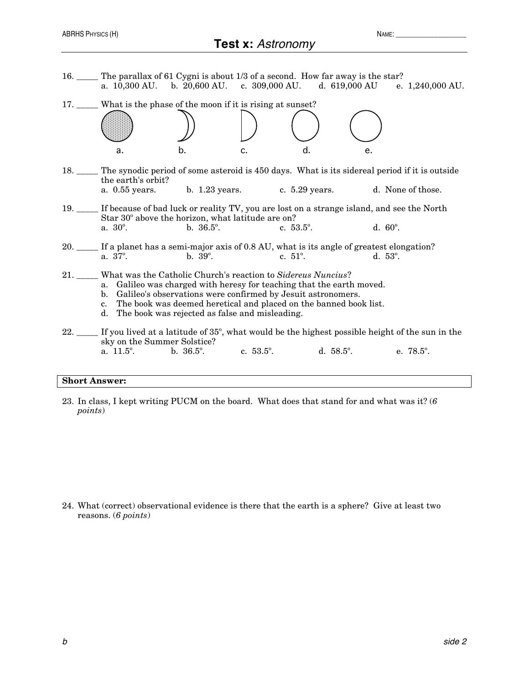# **Test x:** *Astronomy*

| 16. The parallax of 61 Cygni is about 1/3 of a second. How far away is the star?                                                                                                                                                                                                                                                                           |                                         |    |                     |    | a. $10,300 \text{ AU}$ . b. $20,600 \text{ AU}$ . c. $309,000 \text{ AU}$ . d. $619,000 \text{ AU}$ e. $1,240,000 \text{ AU}$ . |  |  |  |
|------------------------------------------------------------------------------------------------------------------------------------------------------------------------------------------------------------------------------------------------------------------------------------------------------------------------------------------------------------|-----------------------------------------|----|---------------------|----|---------------------------------------------------------------------------------------------------------------------------------|--|--|--|
| 17. ____ What is the phase of the moon if it is rising at sunset?                                                                                                                                                                                                                                                                                          |                                         |    |                     |    |                                                                                                                                 |  |  |  |
| a.                                                                                                                                                                                                                                                                                                                                                         | b.                                      | c. | d.                  | e. |                                                                                                                                 |  |  |  |
| 18. The synodic period of some asteroid is 450 days. What is its sidereal period if it is outside<br>the earth's orbit?                                                                                                                                                                                                                                    |                                         |    |                     |    |                                                                                                                                 |  |  |  |
| a. 0.55 years. b. 1.23 years. c. 5.29 years. d. None of those.                                                                                                                                                                                                                                                                                             |                                         |    |                     |    |                                                                                                                                 |  |  |  |
| 19. If because of bad luck or reality TV, you are lost on a strange island, and see the North<br>Star 30° above the horizon, what latitude are on?                                                                                                                                                                                                         |                                         |    |                     |    |                                                                                                                                 |  |  |  |
| $a. 30^{\circ}.$                                                                                                                                                                                                                                                                                                                                           | $b. 36.5^{\circ}.$                      |    | c. $53.5^{\circ}$ . |    | d. 60°.                                                                                                                         |  |  |  |
| 20. If a planet has a semi-major axis of 0.8 AU, what is its angle of greatest elongation?<br>$a. 37^{\circ}.$                                                                                                                                                                                                                                             | $b. 39^{\circ}.$                        |    | c. $51^{\circ}$ .   |    | $d. 53^{\circ}.$                                                                                                                |  |  |  |
| 21. ____ What was the Catholic Church's reaction to Sidereus Nuncius?<br>a. Galileo was charged with heresy for teaching that the earth moved.<br>b. Galileo's observations were confirmed by Jesuit astronomers.<br>The book was deemed heretical and placed on the banned book list.<br>$c_{\cdot}$<br>d. The book was rejected as false and misleading. |                                         |    |                     |    |                                                                                                                                 |  |  |  |
| sky on the Summer Solstice?<br>a. $11.5^{\circ}$ .                                                                                                                                                                                                                                                                                                         | b. 36.5°, c. 53.5°, d. 58.5°, e. 78.5°. |    |                     |    | 22. If you lived at a latitude of 35°, what would be the highest possible height of the sun in the                              |  |  |  |
|                                                                                                                                                                                                                                                                                                                                                            |                                         |    |                     |    |                                                                                                                                 |  |  |  |

#### **Short Answer:**

23. In class, I kept writing PUCM on the board. What does that stand for and what was it? (*6 points*)

24. What (correct) observational evidence is there that the earth is a sphere? Give at least two reasons. (*6 points*)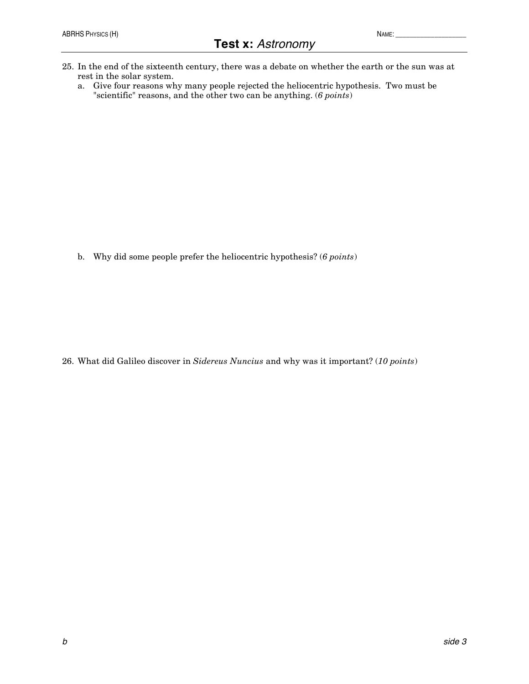- 25. In the end of the sixteenth century, there was a debate on whether the earth or the sun was at rest in the solar system.
	- a. Give four reasons why many people rejected the heliocentric hypothesis. Two must be "scientific" reasons, and the other two can be anything. (*6 points*)

b. Why did some people prefer the heliocentric hypothesis? (*6 points*)

26. What did Galileo discover in *Sidereus Nuncius* and why was it important? (*10 points*)